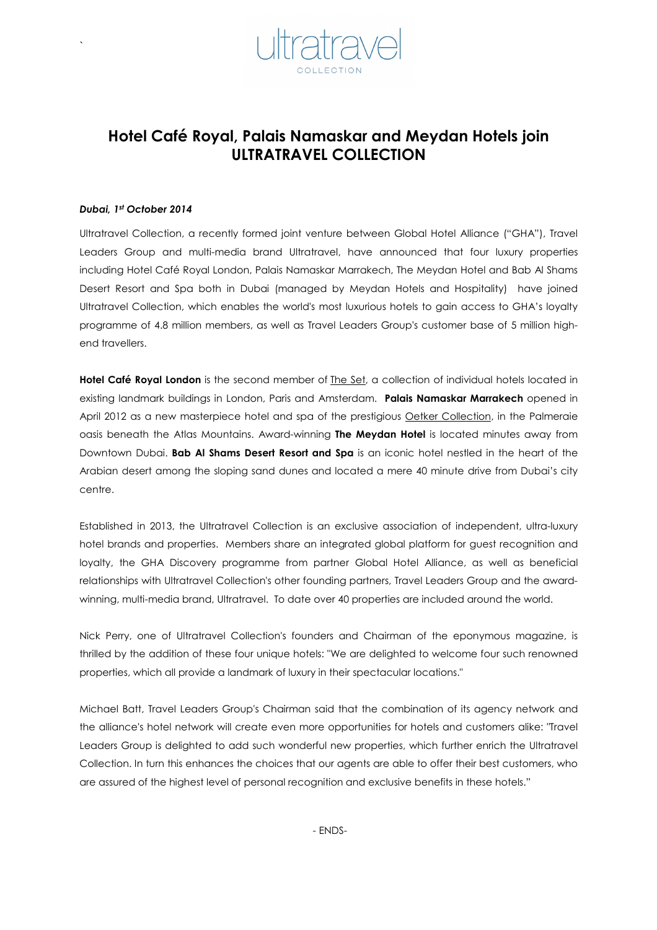

# Hotel Café Royal, Palais Namaskar and Meydan Hotels join ULTRATRAVEL COLLECTION

#### Dubai, 1st October 2014

`

Ultratravel Collection, a recently formed joint venture between Global Hotel Alliance ("GHA"), Travel Leaders Group and multi-media brand Ultratravel, have announced that four luxury properties including Hotel Café Royal London, Palais Namaskar Marrakech, The Meydan Hotel and Bab Al Shams Desert Resort and Spa both in Dubai (managed by Meydan Hotels and Hospitality) have joined Ultratravel Collection, which enables the world's most luxurious hotels to gain access to GHA's loyalty programme of 4.8 million members, as well as Travel Leaders Group's customer base of 5 million highend travellers.

Hotel Café Royal London is the second member of **The Set**, a collection of individual hotels located in existing landmark buildings in London, Paris and Amsterdam. Palais Namaskar Marrakech opened in April 2012 as a new masterpiece hotel and spa of the prestigious Oetker Collection, in the Palmeraie oasis beneath the Atlas Mountains. Award-winning The Meydan Hotel is located minutes away from Downtown Dubai. Bab Al Shams Desert Resort and Spa is an iconic hotel nestled in the heart of the Arabian desert among the sloping sand dunes and located a mere 40 minute drive from Dubai's city centre.

Established in 2013, the Ultratravel Collection is an exclusive association of independent, ultra-luxury hotel brands and properties. Members share an integrated global platform for guest recognition and loyalty, the GHA Discovery programme from partner Global Hotel Alliance, as well as beneficial relationships with Ultratravel Collection's other founding partners, Travel Leaders Group and the awardwinning, multi-media brand, Ultratravel. To date over 40 properties are included around the world.

Nick Perry, one of Ultratravel Collection's founders and Chairman of the eponymous magazine, is thrilled by the addition of these four unique hotels: "We are delighted to welcome four such renowned properties, which all provide a landmark of luxury in their spectacular locations."

Michael Batt, Travel Leaders Group's Chairman said that the combination of its agency network and the alliance's hotel network will create even more opportunities for hotels and customers alike: "Travel Leaders Group is delighted to add such wonderful new properties, which further enrich the Ultratravel Collection. In turn this enhances the choices that our agents are able to offer their best customers, who are assured of the highest level of personal recognition and exclusive benefits in these hotels."